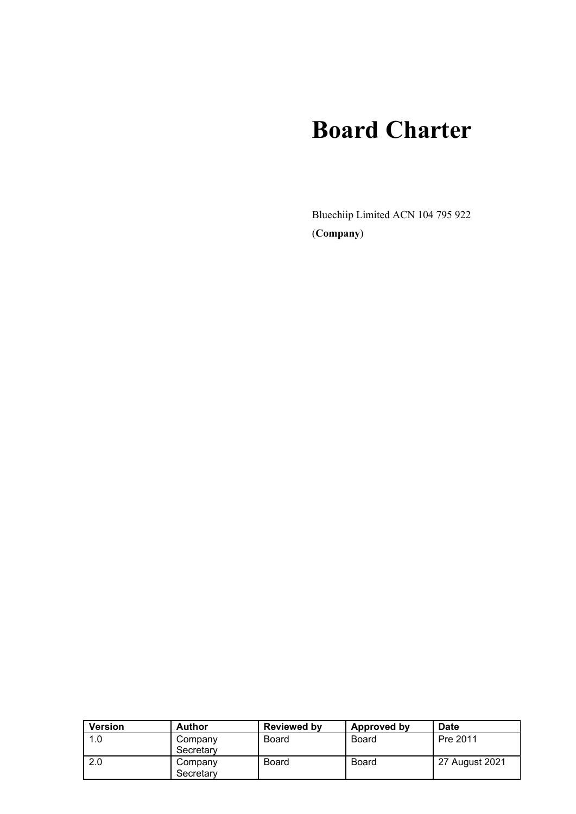# **Board Charter**

Bluechiip Limited ACN 104 795 922 (**Company**)

| <b>Version</b> | <b>Author</b>        | <b>Reviewed by</b> | Approved by | <b>Date</b>    |
|----------------|----------------------|--------------------|-------------|----------------|
| 1.0            | Company<br>Secretary | Board              | Board       | Pre 2011       |
| 2.0            | Company<br>Secretary | Board              | Board       | 27 August 2021 |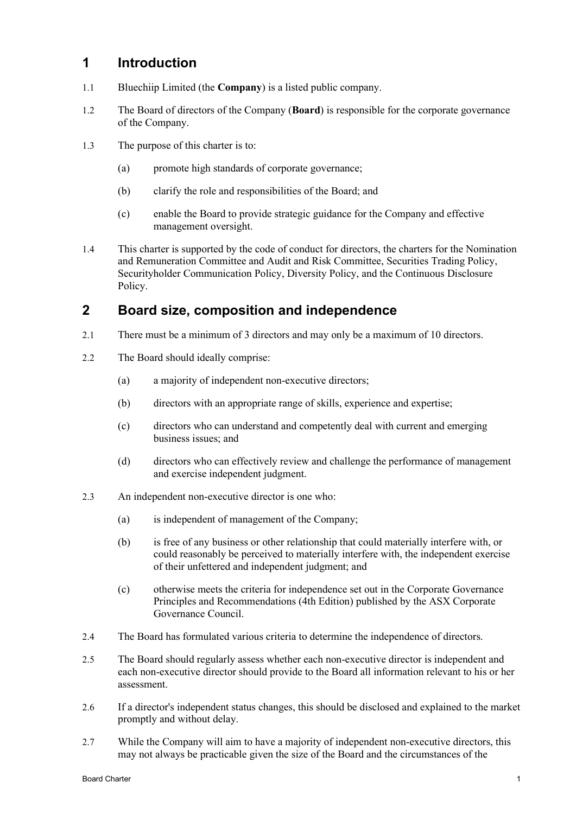## **1 Introduction**

- 1.1 Bluechiip Limited (the **Company**) is a listed public company.
- 1.2 The Board of directors of the Company (**Board**) is responsible for the corporate governance of the Company.
- 1.3 The purpose of this charter is to:
	- (a) promote high standards of corporate governance;
	- (b) clarify the role and responsibilities of the Board; and
	- (c) enable the Board to provide strategic guidance for the Company and effective management oversight.
- 1.4 This charter is supported by the code of conduct for directors, the charters for the Nomination and Remuneration Committee and Audit and Risk Committee, Securities Trading Policy, Securityholder Communication Policy, Diversity Policy, and the Continuous Disclosure Policy.

# **2 Board size, composition and independence**

- 2.1 There must be a minimum of 3 directors and may only be a maximum of 10 directors.
- 2.2 The Board should ideally comprise:
	- (a) a majority of independent non-executive directors;
	- (b) directors with an appropriate range of skills, experience and expertise;
	- (c) directors who can understand and competently deal with current and emerging business issues; and
	- (d) directors who can effectively review and challenge the performance of management and exercise independent judgment.
- 2.3 An independent non-executive director is one who:
	- (a) is independent of management of the Company;
	- (b) is free of any business or other relationship that could materially interfere with, or could reasonably be perceived to materially interfere with, the independent exercise of their unfettered and independent judgment; and
	- (c) otherwise meets the criteria for independence set out in the Corporate Governance Principles and Recommendations (4th Edition) published by the ASX Corporate Governance Council.
- 2.4 The Board has formulated various criteria to determine the independence of directors.
- 2.5 The Board should regularly assess whether each non-executive director is independent and each non-executive director should provide to the Board all information relevant to his or her assessment.
- 2.6 If a director's independent status changes, this should be disclosed and explained to the market promptly and without delay.
- 2.7 While the Company will aim to have a majority of independent non-executive directors, this may not always be practicable given the size of the Board and the circumstances of the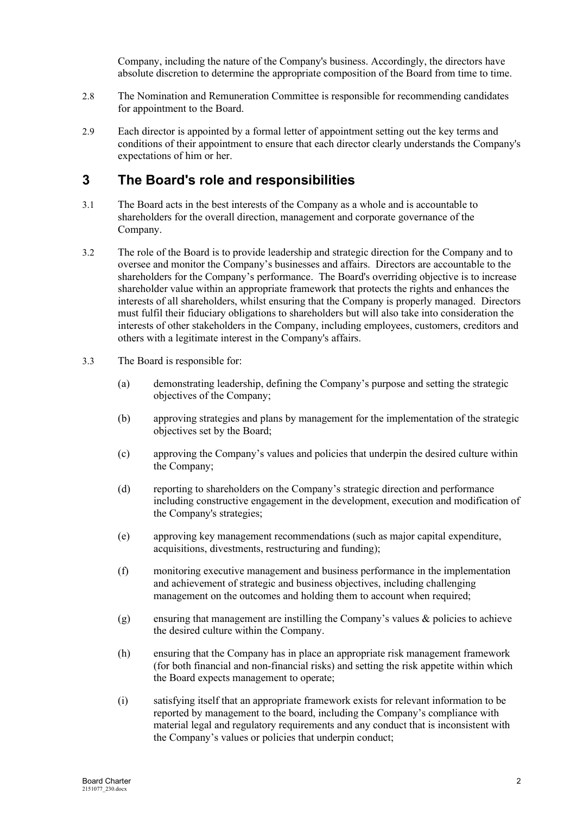Company, including the nature of the Company's business. Accordingly, the directors have absolute discretion to determine the appropriate composition of the Board from time to time.

- 2.8 The Nomination and Remuneration Committee is responsible for recommending candidates for appointment to the Board.
- 2.9 Each director is appointed by a formal letter of appointment setting out the key terms and conditions of their appointment to ensure that each director clearly understands the Company's expectations of him or her.

## **3 The Board's role and responsibilities**

- 3.1 The Board acts in the best interests of the Company as a whole and is accountable to shareholders for the overall direction, management and corporate governance of the Company.
- 3.2 The role of the Board is to provide leadership and strategic direction for the Company and to oversee and monitor the Company's businesses and affairs. Directors are accountable to the shareholders for the Company's performance. The Board's overriding objective is to increase shareholder value within an appropriate framework that protects the rights and enhances the interests of all shareholders, whilst ensuring that the Company is properly managed. Directors must fulfil their fiduciary obligations to shareholders but will also take into consideration the interests of other stakeholders in the Company, including employees, customers, creditors and others with a legitimate interest in the Company's affairs.
- 3.3 The Board is responsible for:
	- (a) demonstrating leadership, defining the Company's purpose and setting the strategic objectives of the Company;
	- (b) approving strategies and plans by management for the implementation of the strategic objectives set by the Board;
	- (c) approving the Company's values and policies that underpin the desired culture within the Company;
	- (d) reporting to shareholders on the Company's strategic direction and performance including constructive engagement in the development, execution and modification of the Company's strategies;
	- (e) approving key management recommendations (such as major capital expenditure, acquisitions, divestments, restructuring and funding);
	- (f) monitoring executive management and business performance in the implementation and achievement of strategic and business objectives, including challenging management on the outcomes and holding them to account when required;
	- (g) ensuring that management are instilling the Company's values & policies to achieve the desired culture within the Company.
	- (h) ensuring that the Company has in place an appropriate risk management framework (for both financial and non-financial risks) and setting the risk appetite within which the Board expects management to operate;
	- (i) satisfying itself that an appropriate framework exists for relevant information to be reported by management to the board, including the Company's compliance with material legal and regulatory requirements and any conduct that is inconsistent with the Company's values or policies that underpin conduct;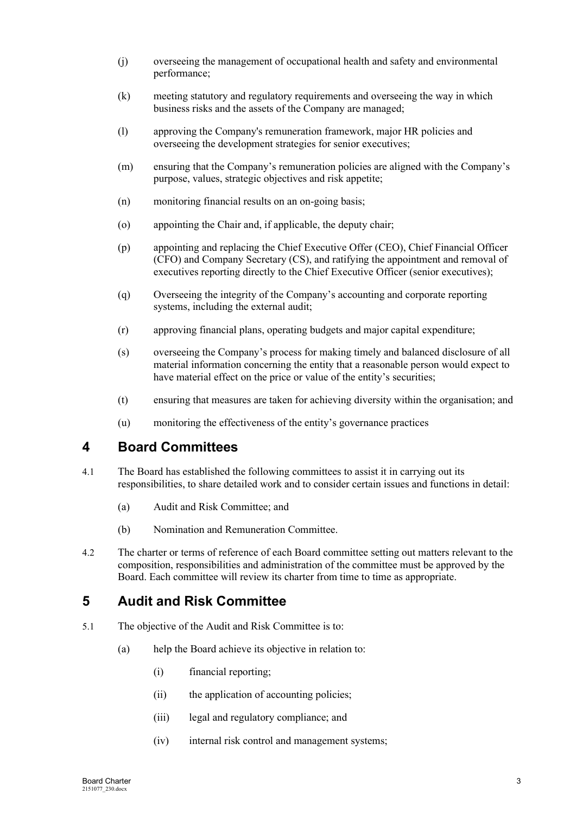- (j) overseeing the management of occupational health and safety and environmental performance;
- (k) meeting statutory and regulatory requirements and overseeing the way in which business risks and the assets of the Company are managed;
- (l) approving the Company's remuneration framework, major HR policies and overseeing the development strategies for senior executives;
- (m) ensuring that the Company's remuneration policies are aligned with the Company's purpose, values, strategic objectives and risk appetite;
- (n) monitoring financial results on an on-going basis;
- (o) appointing the Chair and, if applicable, the deputy chair;
- (p) appointing and replacing the Chief Executive Offer (CEO), Chief Financial Officer (CFO) and Company Secretary (CS), and ratifying the appointment and removal of executives reporting directly to the Chief Executive Officer (senior executives);
- (q) Overseeing the integrity of the Company's accounting and corporate reporting systems, including the external audit;
- (r) approving financial plans, operating budgets and major capital expenditure;
- (s) overseeing the Company's process for making timely and balanced disclosure of all material information concerning the entity that a reasonable person would expect to have material effect on the price or value of the entity's securities;
- (t) ensuring that measures are taken for achieving diversity within the organisation; and
- (u) monitoring the effectiveness of the entity's governance practices

## **4 Board Committees**

- 4.1 The Board has established the following committees to assist it in carrying out its responsibilities, to share detailed work and to consider certain issues and functions in detail:
	- (a) Audit and Risk Committee; and
	- (b) Nomination and Remuneration Committee.
- 4.2 The charter or terms of reference of each Board committee setting out matters relevant to the composition, responsibilities and administration of the committee must be approved by the Board. Each committee will review its charter from time to time as appropriate.

# **5 Audit and Risk Committee**

- 5.1 The objective of the Audit and Risk Committee is to:
	- (a) help the Board achieve its objective in relation to:
		- (i) financial reporting;
		- (ii) the application of accounting policies;
		- (iii) legal and regulatory compliance; and
		- (iv) internal risk control and management systems;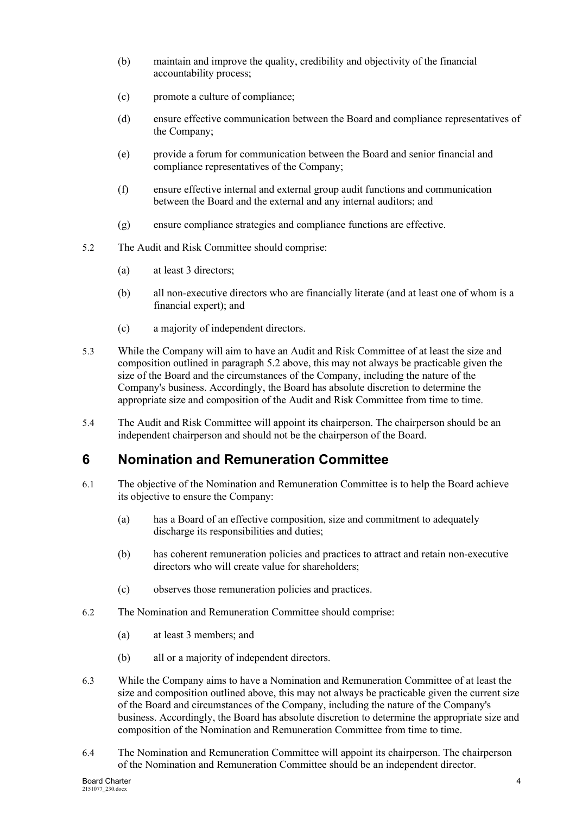- (b) maintain and improve the quality, credibility and objectivity of the financial accountability process;
- (c) promote a culture of compliance;
- (d) ensure effective communication between the Board and compliance representatives of the Company;
- (e) provide a forum for communication between the Board and senior financial and compliance representatives of the Company;
- (f) ensure effective internal and external group audit functions and communication between the Board and the external and any internal auditors; and
- (g) ensure compliance strategies and compliance functions are effective.
- <span id="page-4-0"></span>5.2 The Audit and Risk Committee should comprise:
	- (a) at least 3 directors;
	- (b) all non-executive directors who are financially literate (and at least one of whom is a financial expert); and
	- (c) a majority of independent directors.
- 5.3 While the Company will aim to have an Audit and Risk Committee of at least the size and composition outlined in paragraph [5.2](#page-4-0) above, this may not always be practicable given the size of the Board and the circumstances of the Company, including the nature of the Company's business. Accordingly, the Board has absolute discretion to determine the appropriate size and composition of the Audit and Risk Committee from time to time.
- 5.4 The Audit and Risk Committee will appoint its chairperson. The chairperson should be an independent chairperson and should not be the chairperson of the Board.

## **6 Nomination and Remuneration Committee**

- 6.1 The objective of the Nomination and Remuneration Committee is to help the Board achieve its objective to ensure the Company:
	- (a) has a Board of an effective composition, size and commitment to adequately discharge its responsibilities and duties;
	- (b) has coherent remuneration policies and practices to attract and retain non-executive directors who will create value for shareholders;
	- (c) observes those remuneration policies and practices.
- 6.2 The Nomination and Remuneration Committee should comprise:
	- (a) at least 3 members; and
	- (b) all or a majority of independent directors.
- 6.3 While the Company aims to have a Nomination and Remuneration Committee of at least the size and composition outlined above, this may not always be practicable given the current size of the Board and circumstances of the Company, including the nature of the Company's business. Accordingly, the Board has absolute discretion to determine the appropriate size and composition of the Nomination and Remuneration Committee from time to time.
- 6.4 The Nomination and Remuneration Committee will appoint its chairperson. The chairperson of the Nomination and Remuneration Committee should be an independent director.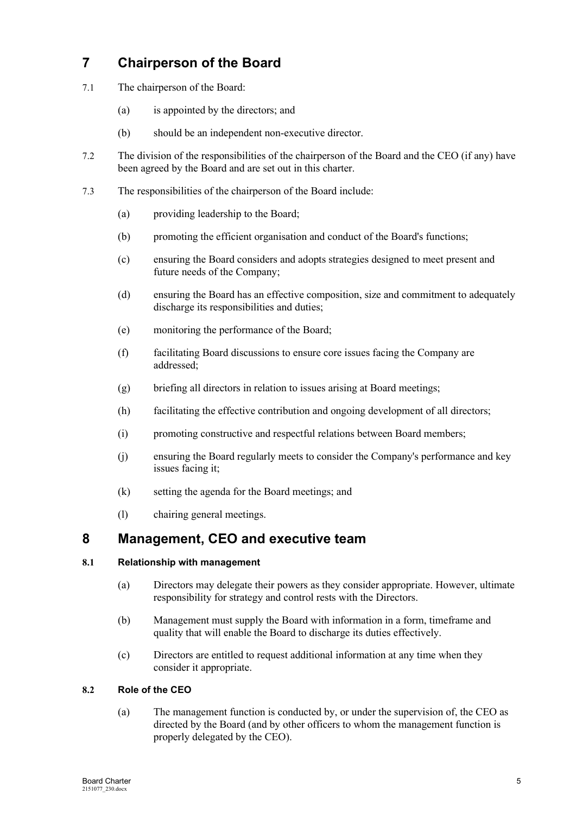# **7 Chairperson of the Board**

- 7.1 The chairperson of the Board:
	- (a) is appointed by the directors; and
	- (b) should be an independent non-executive director.
- 7.2 The division of the responsibilities of the chairperson of the Board and the CEO (if any) have been agreed by the Board and are set out in this charter.
- 7.3 The responsibilities of the chairperson of the Board include:
	- (a) providing leadership to the Board;
	- (b) promoting the efficient organisation and conduct of the Board's functions;
	- (c) ensuring the Board considers and adopts strategies designed to meet present and future needs of the Company;
	- (d) ensuring the Board has an effective composition, size and commitment to adequately discharge its responsibilities and duties;
	- (e) monitoring the performance of the Board;
	- (f) facilitating Board discussions to ensure core issues facing the Company are addressed;
	- (g) briefing all directors in relation to issues arising at Board meetings;
	- (h) facilitating the effective contribution and ongoing development of all directors;
	- (i) promoting constructive and respectful relations between Board members;
	- (j) ensuring the Board regularly meets to consider the Company's performance and key issues facing it;
	- (k) setting the agenda for the Board meetings; and
	- (l) chairing general meetings.

## **8 Management, CEO and executive team**

#### **8.1 Relationship with management**

- (a) Directors may delegate their powers as they consider appropriate. However, ultimate responsibility for strategy and control rests with the Directors.
- (b) Management must supply the Board with information in a form, timeframe and quality that will enable the Board to discharge its duties effectively.
- (c) Directors are entitled to request additional information at any time when they consider it appropriate.

#### **8.2 Role of the CEO**

(a) The management function is conducted by, or under the supervision of, the CEO as directed by the Board (and by other officers to whom the management function is properly delegated by the CEO).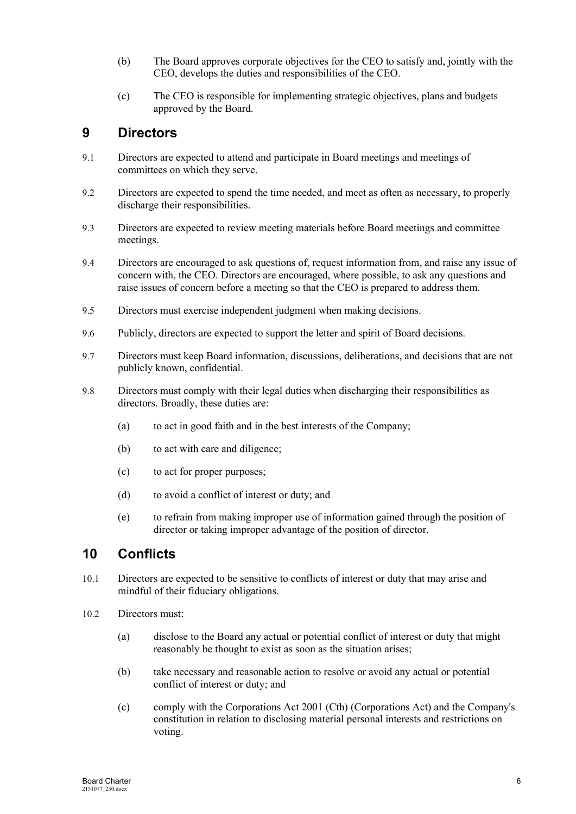- (b) The Board approves corporate objectives for the CEO to satisfy and, jointly with the CEO, develops the duties and responsibilities of the CEO.
- (c) The CEO is responsible for implementing strategic objectives, plans and budgets approved by the Board.

## **9 Directors**

- 9.1 Directors are expected to attend and participate in Board meetings and meetings of committees on which they serve.
- 9.2 Directors are expected to spend the time needed, and meet as often as necessary, to properly discharge their responsibilities.
- 9.3 Directors are expected to review meeting materials before Board meetings and committee meetings.
- 9.4 Directors are encouraged to ask questions of, request information from, and raise any issue of concern with, the CEO. Directors are encouraged, where possible, to ask any questions and raise issues of concern before a meeting so that the CEO is prepared to address them.
- 9.5 Directors must exercise independent judgment when making decisions.
- 9.6 Publicly, directors are expected to support the letter and spirit of Board decisions.
- 9.7 Directors must keep Board information, discussions, deliberations, and decisions that are not publicly known, confidential.
- 9.8 Directors must comply with their legal duties when discharging their responsibilities as directors. Broadly, these duties are:
	- (a) to act in good faith and in the best interests of the Company;
	- (b) to act with care and diligence;
	- (c) to act for proper purposes;
	- (d) to avoid a conflict of interest or duty; and
	- (e) to refrain from making improper use of information gained through the position of director or taking improper advantage of the position of director.

## **10 Conflicts**

- 10.1 Directors are expected to be sensitive to conflicts of interest or duty that may arise and mindful of their fiduciary obligations.
- 10.2 Directors must:
	- (a) disclose to the Board any actual or potential conflict of interest or duty that might reasonably be thought to exist as soon as the situation arises;
	- (b) take necessary and reasonable action to resolve or avoid any actual or potential conflict of interest or duty; and
	- (c) comply with the Corporations Act 2001 (Cth) (Corporations Act) and the Company's constitution in relation to disclosing material personal interests and restrictions on voting.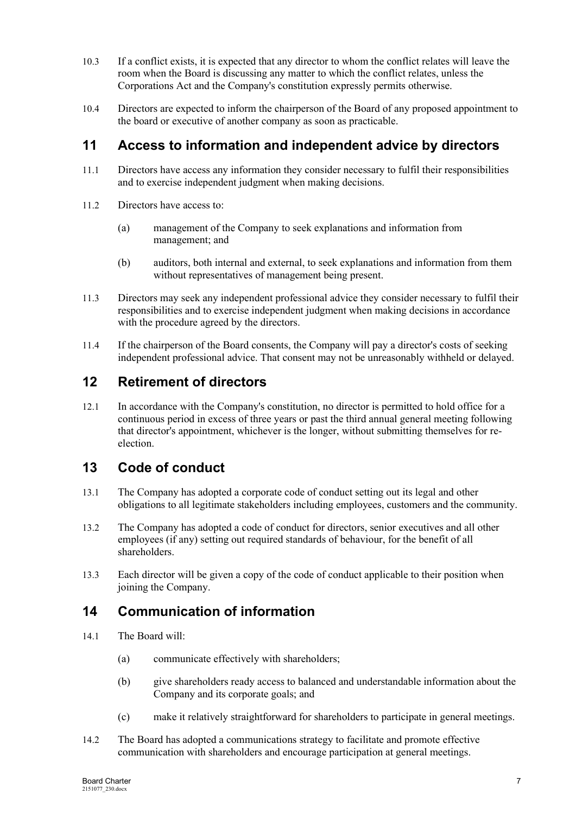- 10.3 If a conflict exists, it is expected that any director to whom the conflict relates will leave the room when the Board is discussing any matter to which the conflict relates, unless the Corporations Act and the Company's constitution expressly permits otherwise.
- 10.4 Directors are expected to inform the chairperson of the Board of any proposed appointment to the board or executive of another company as soon as practicable.

# **11 Access to information and independent advice by directors**

- 11.1 Directors have access any information they consider necessary to fulfil their responsibilities and to exercise independent judgment when making decisions.
- 11.2 Directors have access to:
	- (a) management of the Company to seek explanations and information from management; and
	- (b) auditors, both internal and external, to seek explanations and information from them without representatives of management being present.
- 11.3 Directors may seek any independent professional advice they consider necessary to fulfil their responsibilities and to exercise independent judgment when making decisions in accordance with the procedure agreed by the directors.
- 11.4 If the chairperson of the Board consents, the Company will pay a director's costs of seeking independent professional advice. That consent may not be unreasonably withheld or delayed.

# **12 Retirement of directors**

12.1 In accordance with the Company's constitution, no director is permitted to hold office for a continuous period in excess of three years or past the third annual general meeting following that director's appointment, whichever is the longer, without submitting themselves for reelection.

# **13 Code of conduct**

- 13.1 The Company has adopted a corporate code of conduct setting out its legal and other obligations to all legitimate stakeholders including employees, customers and the community.
- 13.2 The Company has adopted a code of conduct for directors, senior executives and all other employees (if any) setting out required standards of behaviour, for the benefit of all shareholders.
- 13.3 Each director will be given a copy of the code of conduct applicable to their position when joining the Company.

# **14 Communication of information**

- 14.1 The Board will:
	- (a) communicate effectively with shareholders;
	- (b) give shareholders ready access to balanced and understandable information about the Company and its corporate goals; and
	- (c) make it relatively straightforward for shareholders to participate in general meetings.
- 14.2 The Board has adopted a communications strategy to facilitate and promote effective communication with shareholders and encourage participation at general meetings.